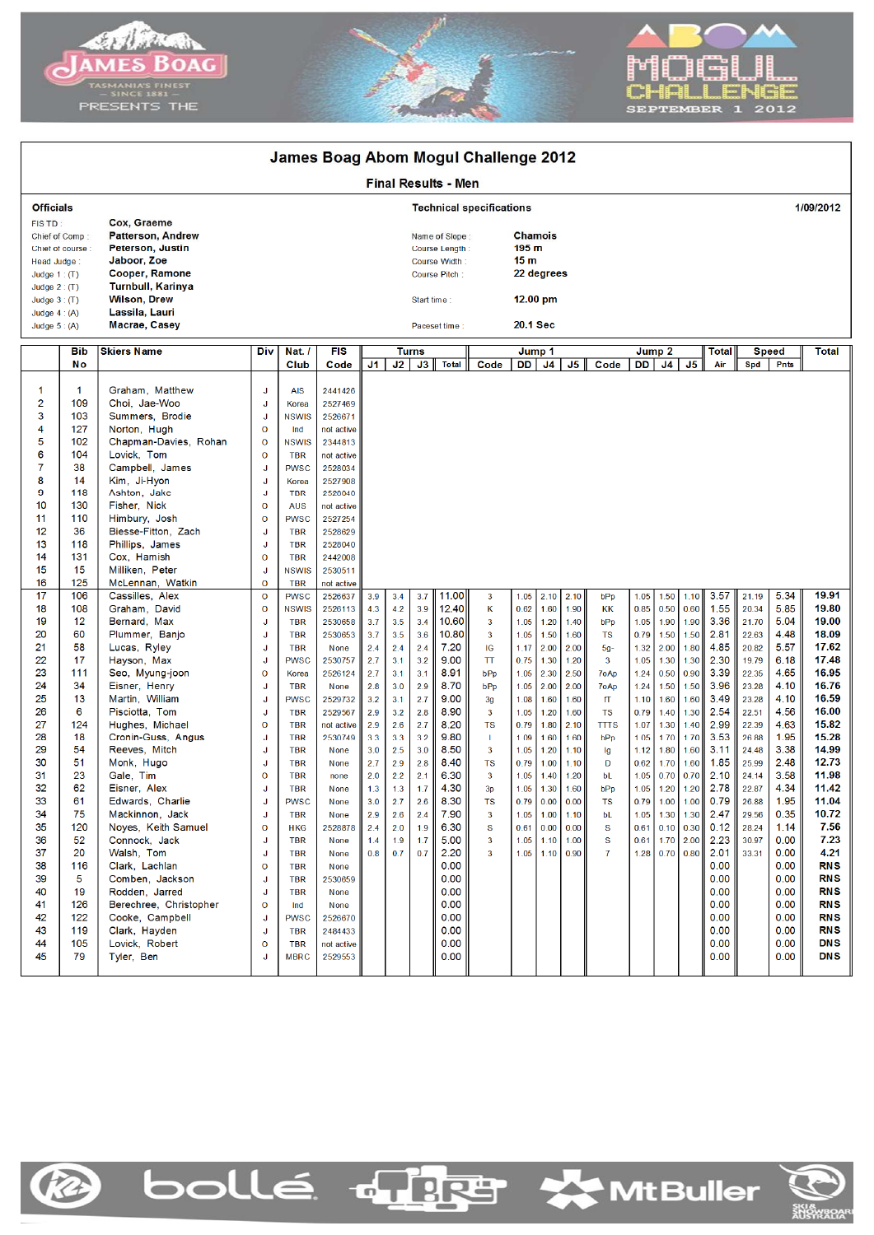

医





| James Boag Abom Mogul Challenge 2012                                                                                                                                 |                                                                                                                                                                             |                                                                                                                                                                                                                                                                                                                                                                                                                                                                                                                |                                                                                                                                                                                                                                 |                                                                                                                                                                                                                                                                                                                                                                                                 |                                                                                                                                                                                                                                                                                        |                                                                                                                                          |                                                                                                                                          |                                                                                                                                          |                                                                                                                                                                                                                                 |                                                                                                                                                                                               |                                                                                                                                                      |                                                                                                                                                          |                                                                                                                                                                          |                                                                                                                                                               |                                                                                                                                      |                                                                                                                      |                                                                                                                                                                                                                  |                                                                                                                                                                                                                              |                                                                                                                                                                                  |                                                                                                                                                                                                                              |                                                                                                                                                                                                                                                                                               |  |
|----------------------------------------------------------------------------------------------------------------------------------------------------------------------|-----------------------------------------------------------------------------------------------------------------------------------------------------------------------------|----------------------------------------------------------------------------------------------------------------------------------------------------------------------------------------------------------------------------------------------------------------------------------------------------------------------------------------------------------------------------------------------------------------------------------------------------------------------------------------------------------------|---------------------------------------------------------------------------------------------------------------------------------------------------------------------------------------------------------------------------------|-------------------------------------------------------------------------------------------------------------------------------------------------------------------------------------------------------------------------------------------------------------------------------------------------------------------------------------------------------------------------------------------------|----------------------------------------------------------------------------------------------------------------------------------------------------------------------------------------------------------------------------------------------------------------------------------------|------------------------------------------------------------------------------------------------------------------------------------------|------------------------------------------------------------------------------------------------------------------------------------------|------------------------------------------------------------------------------------------------------------------------------------------|---------------------------------------------------------------------------------------------------------------------------------------------------------------------------------------------------------------------------------|-----------------------------------------------------------------------------------------------------------------------------------------------------------------------------------------------|------------------------------------------------------------------------------------------------------------------------------------------------------|----------------------------------------------------------------------------------------------------------------------------------------------------------|--------------------------------------------------------------------------------------------------------------------------------------------------------------------------|---------------------------------------------------------------------------------------------------------------------------------------------------------------|--------------------------------------------------------------------------------------------------------------------------------------|----------------------------------------------------------------------------------------------------------------------|------------------------------------------------------------------------------------------------------------------------------------------------------------------------------------------------------------------|------------------------------------------------------------------------------------------------------------------------------------------------------------------------------------------------------------------------------|----------------------------------------------------------------------------------------------------------------------------------------------------------------------------------|------------------------------------------------------------------------------------------------------------------------------------------------------------------------------------------------------------------------------|-----------------------------------------------------------------------------------------------------------------------------------------------------------------------------------------------------------------------------------------------------------------------------------------------|--|
|                                                                                                                                                                      | <b>Final Results - Men</b>                                                                                                                                                  |                                                                                                                                                                                                                                                                                                                                                                                                                                                                                                                |                                                                                                                                                                                                                                 |                                                                                                                                                                                                                                                                                                                                                                                                 |                                                                                                                                                                                                                                                                                        |                                                                                                                                          |                                                                                                                                          |                                                                                                                                          |                                                                                                                                                                                                                                 |                                                                                                                                                                                               |                                                                                                                                                      |                                                                                                                                                          |                                                                                                                                                                          |                                                                                                                                                               |                                                                                                                                      |                                                                                                                      |                                                                                                                                                                                                                  |                                                                                                                                                                                                                              |                                                                                                                                                                                  |                                                                                                                                                                                                                              |                                                                                                                                                                                                                                                                                               |  |
| <b>Officials</b>                                                                                                                                                     |                                                                                                                                                                             |                                                                                                                                                                                                                                                                                                                                                                                                                                                                                                                |                                                                                                                                                                                                                                 | <b>Technical specifications</b>                                                                                                                                                                                                                                                                                                                                                                 |                                                                                                                                                                                                                                                                                        |                                                                                                                                          |                                                                                                                                          |                                                                                                                                          |                                                                                                                                                                                                                                 |                                                                                                                                                                                               |                                                                                                                                                      |                                                                                                                                                          |                                                                                                                                                                          |                                                                                                                                                               |                                                                                                                                      | 1/09/2012                                                                                                            |                                                                                                                                                                                                                  |                                                                                                                                                                                                                              |                                                                                                                                                                                  |                                                                                                                                                                                                                              |                                                                                                                                                                                                                                                                                               |  |
| FISTD:<br>Chief of Comp:<br>Chief of course:<br><b>Head Judge</b><br>Judge $1:$ (T)<br>Judge $2:$ (T)<br>Judge $3:$ (T)<br>Judge $4:(A)$<br>Judge $5: (A)$           |                                                                                                                                                                             | Cox, Graeme<br><b>Patterson, Andrew</b><br>Peterson, Justin<br>Jaboor, Zoe<br>Cooper, Ramone<br><b>Turnbull, Karinya</b><br><b>Wilson, Drew</b><br>Lassila, Lauri<br>Macrae, Casey                                                                                                                                                                                                                                                                                                                             |                                                                                                                                                                                                                                 |                                                                                                                                                                                                                                                                                                                                                                                                 |                                                                                                                                                                                                                                                                                        | Name of Slope:<br>Course Length:<br>Course Width<br>Course Pitch:<br>Start time<br>Paceset time:                                         |                                                                                                                                          |                                                                                                                                          |                                                                                                                                                                                                                                 |                                                                                                                                                                                               | <b>Chamois</b><br>$195$ m<br>15 <sub>m</sub><br>22 degrees<br>$12.00$ pm<br>20.1 Sec                                                                 |                                                                                                                                                          |                                                                                                                                                                          |                                                                                                                                                               |                                                                                                                                      |                                                                                                                      |                                                                                                                                                                                                                  |                                                                                                                                                                                                                              |                                                                                                                                                                                  |                                                                                                                                                                                                                              |                                                                                                                                                                                                                                                                                               |  |
| <b>Skiers Name</b><br>Bib                                                                                                                                            |                                                                                                                                                                             |                                                                                                                                                                                                                                                                                                                                                                                                                                                                                                                | Div                                                                                                                                                                                                                             | Nat. /                                                                                                                                                                                                                                                                                                                                                                                          | <b>FIS</b>                                                                                                                                                                                                                                                                             |                                                                                                                                          |                                                                                                                                          | <b>Turns</b>                                                                                                                             |                                                                                                                                                                                                                                 |                                                                                                                                                                                               |                                                                                                                                                      | Jump 1                                                                                                                                                   |                                                                                                                                                                          |                                                                                                                                                               |                                                                                                                                      | Jump 2                                                                                                               |                                                                                                                                                                                                                  | Total                                                                                                                                                                                                                        | <b>Speed</b>                                                                                                                                                                     |                                                                                                                                                                                                                              | <b>Total</b>                                                                                                                                                                                                                                                                                  |  |
|                                                                                                                                                                      | Nο                                                                                                                                                                          |                                                                                                                                                                                                                                                                                                                                                                                                                                                                                                                |                                                                                                                                                                                                                                 | Club                                                                                                                                                                                                                                                                                                                                                                                            | Code                                                                                                                                                                                                                                                                                   | J1.                                                                                                                                      | J2                                                                                                                                       | J3                                                                                                                                       | <b>Total</b>                                                                                                                                                                                                                    | Code                                                                                                                                                                                          | DD                                                                                                                                                   | J4                                                                                                                                                       | J5                                                                                                                                                                       | Code                                                                                                                                                          | DD                                                                                                                                   | J <sub>4</sub>                                                                                                       | J5                                                                                                                                                                                                               | Air                                                                                                                                                                                                                          | Spd                                                                                                                                                                              | <b>Pnts</b>                                                                                                                                                                                                                  |                                                                                                                                                                                                                                                                                               |  |
| 1<br>$\overline{2}$<br>3<br>4<br>5<br>6<br>7<br>8<br>9<br>10<br>11<br>12<br>13<br>14<br>15                                                                           | 1<br>109<br>103<br>127<br>102<br>104<br>38<br>14<br>118<br>130<br>110<br>36<br>118<br>131<br>15                                                                             | Graham, Matthew<br>Choi, Jae-Woo<br>Summers, Brodie<br>Norton, Hugh<br>Chapman-Davies, Rohan<br>Lovick, Tom<br>Campbell, James<br>Kim. Ji-Hvon<br>Ashton, Jake<br>Fisher, Nick<br>Himbury, Josh<br>Biesse-Fitton, Zach<br>Phillips, James<br>Cox, Hamish<br>Milliken, Peter                                                                                                                                                                                                                                    | J<br>J<br>J<br>$\circ$<br>$\mathbf{o}$<br>$\mathbf 0$<br>J<br>J<br>J<br>$\mathbf 0$<br>$\mathbf{o}$<br>J<br>J<br>$\mathbf{o}$<br>J                                                                                              | <b>AIS</b><br>Korea<br><b>NSWIS</b><br>Ind<br><b>NSWIS</b><br><b>TBR</b><br><b>PWSC</b><br>Korea<br><b>TBR</b><br><b>AUS</b><br><b>PWSC</b><br><b>TBR</b><br><b>TBR</b><br><b>TBR</b><br><b>NSWIS</b>                                                                                                                                                                                           | 2441426<br>2527469<br>2526671<br>not active<br>2344813<br>not active<br>2528034<br>2527908<br>2528040<br>not active<br>2527254<br>2528629<br>2528040<br>2442008<br>2530511                                                                                                             |                                                                                                                                          |                                                                                                                                          |                                                                                                                                          |                                                                                                                                                                                                                                 |                                                                                                                                                                                               |                                                                                                                                                      |                                                                                                                                                          |                                                                                                                                                                          |                                                                                                                                                               |                                                                                                                                      |                                                                                                                      |                                                                                                                                                                                                                  |                                                                                                                                                                                                                              |                                                                                                                                                                                  |                                                                                                                                                                                                                              |                                                                                                                                                                                                                                                                                               |  |
| 16<br>17                                                                                                                                                             | 125<br>106                                                                                                                                                                  | McLennan, Watkin<br>Cassilles, Alex                                                                                                                                                                                                                                                                                                                                                                                                                                                                            | $\mathbf{o}$<br>$\mathbf{o}$                                                                                                                                                                                                    | <b>TBR</b><br><b>PWSC</b>                                                                                                                                                                                                                                                                                                                                                                       | not active<br>2526637                                                                                                                                                                                                                                                                  | 3.9                                                                                                                                      | 3.4                                                                                                                                      | 3.7                                                                                                                                      | 11.00                                                                                                                                                                                                                           | 3                                                                                                                                                                                             | 1.05                                                                                                                                                 | 2.10                                                                                                                                                     | 2.10                                                                                                                                                                     | bPp                                                                                                                                                           | 1.05                                                                                                                                 | 1.50                                                                                                                 | 1.10                                                                                                                                                                                                             | 3.57                                                                                                                                                                                                                         | 21.19                                                                                                                                                                            | 5.34                                                                                                                                                                                                                         | 19.91                                                                                                                                                                                                                                                                                         |  |
| 18<br>19<br>20<br>21<br>22<br>23<br>24<br>25<br>26<br>27<br>28<br>29<br>30<br>31<br>32<br>33<br>34<br>35<br>36<br>37<br>38<br>39<br>40<br>41<br>42<br>43<br>44<br>45 | 108<br>12<br>60<br>58<br>17<br>111<br>34<br>13<br>6<br>124<br>18<br>54<br>51<br>23<br>62<br>61<br>75<br>120<br>52<br>20<br>116<br>5<br>19<br>126<br>122<br>119<br>105<br>79 | Graham, David<br>Bernard, Max<br>Plummer, Banjo<br>Lucas, Ryley<br>Hayson, Max<br>Seo, Myung-joon<br>Eisner, Henry<br>Martin, William<br>Pisciotta, Tom<br>Hughes, Michael<br>Cronin-Guss, Angus<br>Reeves, Mitch<br>Monk, Hugo<br>Gale, Tim<br>Eisner, Alex<br>Edwards, Charlie<br>Mackinnon, Jack<br>Noyes, Keith Samuel<br>Connock, Jack<br>Walsh, Tom<br>Clark, Lachlan<br>Comben, Jackson<br>Rodden, Jarred<br>Berechree, Christopher<br>Cooke, Campbell<br>Clark, Hayden<br>Lovick, Robert<br>Tyler, Ben | $\mathbf{o}$<br>J<br>J<br>J<br>J<br>$\mathbf{o}$<br>J<br>J<br>J<br>$\mathbf{O}$<br>J<br>J<br>J<br>$\mathbf{o}$<br>J<br>J<br>J<br>$\mathbf{o}$<br>J<br>J<br>$\mathbf{o}$<br>J<br>J<br>$\mathbf O$<br>J<br>J<br>$\mathbf{o}$<br>J | <b>NSWIS</b><br><b>TBR</b><br><b>TBR</b><br><b>TBR</b><br><b>PWSC</b><br>Korea<br><b>TBR</b><br><b>PWSC</b><br><b>TBR</b><br><b>TBR</b><br><b>TBR</b><br><b>TBR</b><br><b>TBR</b><br><b>TBR</b><br><b>TBR</b><br><b>PWSC</b><br><b>TBR</b><br><b>HKG</b><br><b>TBR</b><br><b>TBR</b><br><b>TBR</b><br><b>TBR</b><br><b>TBR</b><br>Ind<br><b>PWSC</b><br><b>TBR</b><br><b>TBR</b><br><b>MBRC</b> | 2526113<br>2530658<br>2530653<br>None<br>2530757<br>2526124<br>None<br>2529732<br>2529567<br>not active<br>2530749<br>None<br>None<br>none<br><b>None</b><br>None<br>None<br>2528878<br>None<br>None<br>None<br>2530659<br>None<br>None<br>2526670<br>2484433<br>not active<br>2529553 | 4.3<br>3.7<br>3.7<br>2.4<br>2.7<br>2.7<br>2.8<br>3.2<br>2.9<br>2.9<br>3.3<br>3.0<br>2.7<br>2.0<br>1.3<br>3.0<br>2.9<br>2.4<br>1.4<br>0.8 | 4.2<br>3.5<br>3.5<br>2.4<br>3.1<br>3.1<br>3.0<br>3.1<br>3.2<br>2.6<br>3.3<br>2.5<br>2.9<br>2.2<br>1.3<br>2.7<br>2.6<br>2.0<br>1.9<br>0.7 | 3.9<br>3.4<br>3.6<br>2.4<br>3.2<br>3.1<br>2.9<br>2.7<br>2.8<br>2.7<br>3.2<br>3.0<br>2.8<br>2.1<br>1.7<br>2.6<br>2.4<br>1.9<br>1.7<br>0.7 | 12.40<br>10.60<br>10.80<br>7.20<br>9.00<br>8.91<br>8.70<br>9.00<br>8.90<br>8.20<br>9.80<br>8.50<br>8.40<br>6.30<br>4.30<br>8.30<br>7.90<br>6.30<br>5.00<br>2.20<br>0.00<br>0.00<br>0.00<br>0.00<br>0.00<br>0.00<br>0.00<br>0.00 | κ<br>$\mathbf{3}$<br>3<br>IG<br>TT<br>bPp<br>bPp<br>3g<br>$\mathbf{3}$<br><b>TS</b><br>$\mathbf{I}$<br>3<br><b>TS</b><br>3<br>3p<br>TS<br>3<br>$\mathbf{s}$<br>$\mathbf{3}$<br>$\overline{3}$ | 0.62<br>1.05<br>1.05<br>1.17<br>0.75<br>1.05<br>1.05<br>1.08<br>1.05<br>0.79<br>1.09<br>1.05<br>0.79<br>1.05<br>1.05<br>1.05<br>0.61<br>1.05<br>1.05 | 1.60<br>1.20<br>1.50<br>2.00<br>1.30<br>2.30<br>2.00<br>1.60<br>1.20<br>1.80<br>1.60<br>1.20<br>1.00<br>1.40<br>1.30<br>1.00<br>$0.00\,$<br>1.10<br>1.10 | 1.90<br>1.40<br>1.60<br>2.00<br>1.20<br>2.50<br>2.00<br>1.60<br>1.60<br>2.10<br>1.60<br>1.10<br>1.10<br>1.20<br>1.60<br>$0.79$ 0.00 0.00<br>1.10<br>0.00<br>1.00<br>0.90 | КK<br>bPp<br><b>TS</b><br>$5g-$<br>3<br>7oAp<br>7oAp<br>fT<br><b>TS</b><br><b>TTTS</b><br>bPp<br>Ig<br>D<br>bL<br>bPp<br>TS<br>bL<br>S<br>S<br>$\overline{7}$ | 0.85<br>1.05<br>0.79<br>1.32<br>1.05<br>1.24<br>1.24<br>1.10<br>0.79<br>1.07<br>1.05<br>1.12<br>0.62<br>1.05<br>1.05<br>1.05<br>0.61 | 0.50<br>1.90<br>1.50<br>2.00<br>1.30<br>0.50<br>1.50<br>1.60<br>1.40<br>1.30<br>1.70<br>1.80<br>1.70<br>0.70<br>1.20 | 0.60<br>1.90<br>1.50<br>1.80<br>1.30<br>0.90<br>1.50<br>1.60<br>1.30<br>1.40<br>1.70<br>1.60<br>1.60<br>0.70<br>1.20<br>$0.79$ 1.00 1.00<br>$1.30$   1.30<br>$0.61$ 0.10 0.30<br>$1.70$ 2.00<br>$1.28$ 0.70 0.80 | 1.55<br>3.36<br>2.81<br>4.85<br>2.30<br>3.39<br>3.96<br>3.49<br>2.54<br>2.99<br>3.53<br>3.11<br>1.85<br>2.10<br>2.78<br>0.79<br>2.47<br>0.12<br>2.23<br>2.01<br>0.00<br>0.00<br>0.00<br>0.00<br>0.00<br>0.00<br>0.00<br>0.00 | 20.34<br>21.70<br>22.63<br>20.82<br>19.79<br>22.35<br>23.28<br>23.28<br>22.51<br>22.39<br>26.88<br>24.48<br>25.99<br>24.14<br>22.87<br>26.88<br>29.56<br>28.24<br>30.97<br>33.31 | 5.85<br>5.04<br>4.48<br>5.57<br>6.18<br>4.65<br>4.10<br>4.10<br>4.56<br>4.63<br>1.95<br>3.38<br>2.48<br>3.58<br>4.34<br>1.95<br>0.35<br>1.14<br>0.00<br>0.00<br>0.00<br>0.00<br>0.00<br>0.00<br>0.00<br>0.00<br>0.00<br>0.00 | 19.80<br>19.00<br>18.09<br>17.62<br>17.48<br>16.95<br>16.76<br>16.59<br>16.00<br>15.82<br>15.28<br>14.99<br>12.73<br>11.98<br>11.42<br>11.04<br>10.72<br>7.56<br>7.23<br>4.21<br><b>RNS</b><br><b>RNS</b><br><b>RNS</b><br><b>RNS</b><br><b>RNS</b><br><b>RNS</b><br><b>DNS</b><br><b>DNS</b> |  |

bollé dise



**MtBuller**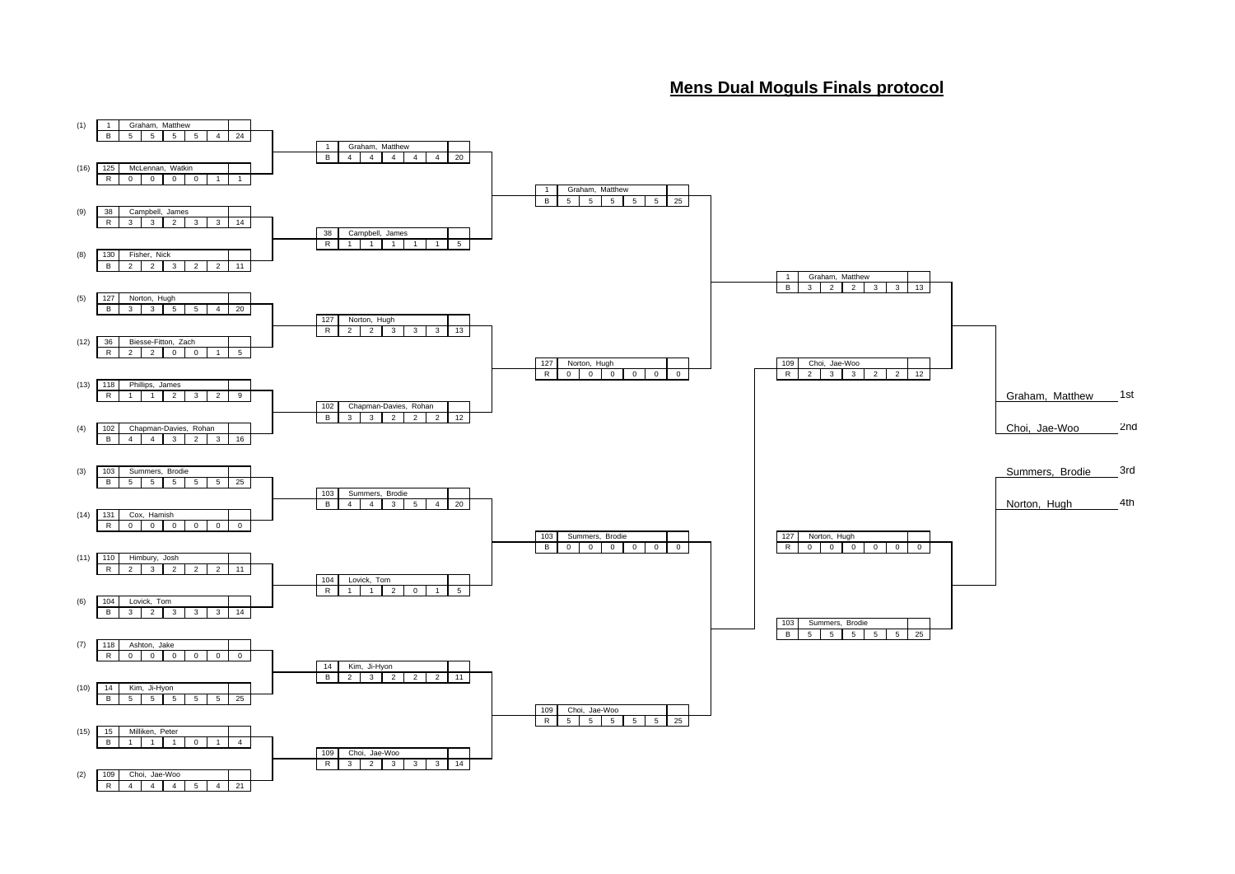